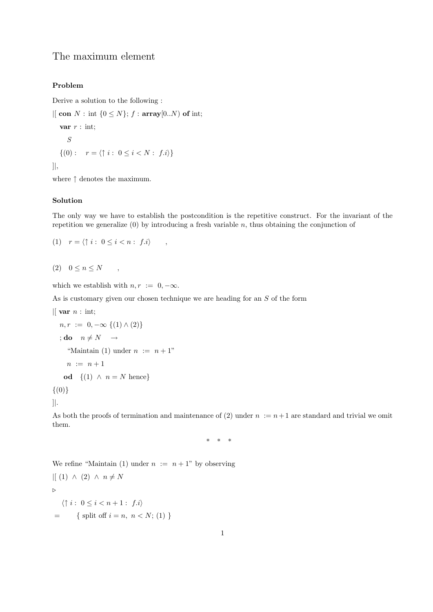## The maximum element

## Problem

Derive a solution to the following :

 $\left| \right|$  con  $N$ : int  $\{0 \leq N\}$ ;  $f$ : array $[0..N)$  of int; var  $r : \text{int};$ S  $\{(0): r = \langle \uparrow i : 0 \leq i < N : f.i \rangle\}$ ]|,

where  $\uparrow$  denotes the maximum.

## Solution

The only way we have to establish the postcondition is the repetitive construct. For the invariant of the repetition we generalize  $(0)$  by introducing a fresh variable n, thus obtaining the conjunction of

$$
(1) \quad r = \langle \uparrow i : 0 \le i < n : f.i \rangle \quad ,
$$

$$
(2) \quad 0 \le n \le N \qquad ,
$$

which we establish with  $n, r := 0, -\infty$ .

As is customary given our chosen technique we are heading for an S of the form

```
\parallel var n : int;
```

$$
n, r := 0, -\infty \{(1) \land (2)\}
$$
  
\n
$$
;\text{do } n \neq N \rightarrow
$$
  
\n"Maintain (1) under  $n := n + 1$ "  
\n $n := n + 1$   
\n
$$
\text{od } \{(1) \land n = N \text{ hence}\}
$$

 $\{(0)\}\$ 

]|.

As both the proofs of termination and maintenance of (2) under  $n := n+1$  are standard and trivial we omit them.

\* \* \*

We refine "Maintain (1) under  $n := n + 1$ " by observing

 $\vert (1) \wedge (2) \wedge n \neq N$  $\triangleright$  $\langle \uparrow i : 0 \leq i < n+1 : f.i \rangle$  $=$  { split off  $i = n, n < N$ ; (1) }